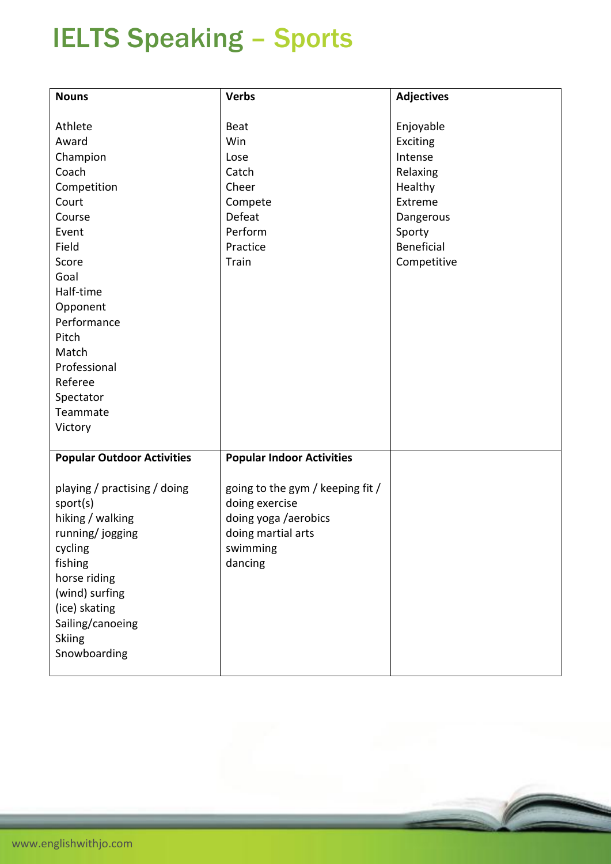## IELTS Speaking – Sports

| <b>Nouns</b>                      | <b>Verbs</b>                           | <b>Adjectives</b> |
|-----------------------------------|----------------------------------------|-------------------|
|                                   |                                        |                   |
| Athlete                           | Beat                                   | Enjoyable         |
| Award                             | Win                                    | Exciting          |
| Champion                          | Lose                                   | Intense           |
| Coach                             | Catch                                  | Relaxing          |
| Competition                       | Cheer                                  | Healthy           |
| Court                             | Compete                                | Extreme           |
| Course                            | Defeat                                 | Dangerous         |
| Event                             | Perform                                | Sporty            |
| Field                             | Practice                               | Beneficial        |
| Score                             | Train                                  | Competitive       |
| Goal                              |                                        |                   |
| Half-time                         |                                        |                   |
| Opponent                          |                                        |                   |
| Performance                       |                                        |                   |
| Pitch                             |                                        |                   |
| Match                             |                                        |                   |
| Professional                      |                                        |                   |
| Referee                           |                                        |                   |
| Spectator                         |                                        |                   |
| Teammate                          |                                        |                   |
| Victory                           |                                        |                   |
|                                   |                                        |                   |
| <b>Popular Outdoor Activities</b> | <b>Popular Indoor Activities</b>       |                   |
|                                   |                                        |                   |
| playing / practising / doing      | going to the gym / keeping fit /       |                   |
| sport(s)<br>hiking / walking      | doing exercise<br>doing yoga /aerobics |                   |
|                                   |                                        |                   |
| running/jogging<br>cycling        | doing martial arts<br>swimming         |                   |
| fishing                           | dancing                                |                   |
| horse riding                      |                                        |                   |
|                                   |                                        |                   |
| (wind) surfing<br>(ice) skating   |                                        |                   |
| Sailing/canoeing                  |                                        |                   |
|                                   |                                        |                   |
| <b>Skiing</b><br>Snowboarding     |                                        |                   |
|                                   |                                        |                   |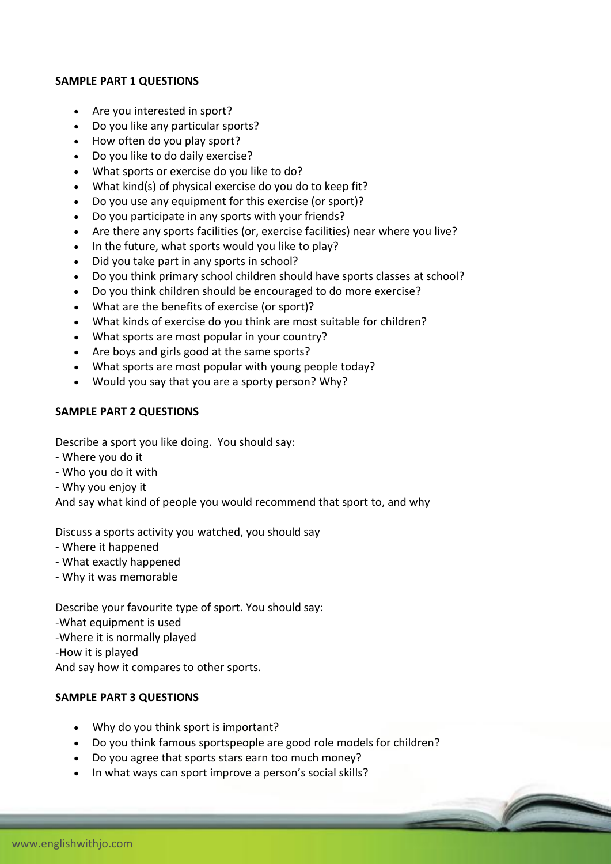## **SAMPLE PART 1 QUESTIONS**

- Are you interested in sport?
- Do you like any particular sports?
- How often do you play sport?
- Do you like to do daily exercise?
- What sports or exercise do you like to do?
- What kind(s) of physical exercise do you do to keep fit?
- Do you use any equipment for this exercise (or sport)?
- Do you participate in any sports with your friends?
- Are there any sports facilities (or, exercise facilities) near where you live?
- In the future, what sports would you like to play?
- Did you take part in any sports in school?
- Do you think primary school children should have sports classes at school?
- Do you think children should be encouraged to do more exercise?
- What are the benefits of exercise (or sport)?
- What kinds of exercise do you think are most suitable for children?
- What sports are most popular in your country?
- Are boys and girls good at the same sports?
- What sports are most popular with young people today?
- Would you say that you are a sporty person? Why?

## **SAMPLE PART 2 QUESTIONS**

Describe a sport you like doing. You should say:

- Where you do it
- Who you do it with
- Why you enjoy it

And say what kind of people you would recommend that sport to, and why

Discuss a sports activity you watched, you should say

- Where it happened
- What exactly happened
- Why it was memorable

Describe your favourite type of sport. You should say: -What equipment is used -Where it is normally played -How it is played And say how it compares to other sports.

## **SAMPLE PART 3 QUESTIONS**

- Why do you think sport is important?
- Do you think famous sportspeople are good role models for children?
- Do you agree that sports stars earn too much money?
- In what ways can sport improve a person's social skills?